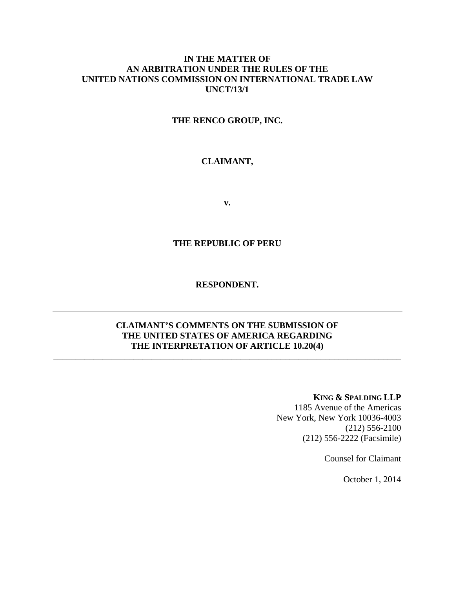# **IN THE MATTER OF AN ARBITRATION UNDER THE RULES OF THE UNITED NATIONS COMMISSION ON INTERNATIONAL TRADE LAW UNCT/13/1**

### **THE RENCO GROUP, INC.**

### **CLAIMANT,**

**v.** 

### **THE REPUBLIC OF PERU**

#### **RESPONDENT.**

# **CLAIMANT'S COMMENTS ON THE SUBMISSION OF THE UNITED STATES OF AMERICA REGARDING THE INTERPRETATION OF ARTICLE 10.20(4)**

\_\_\_\_\_\_\_\_\_\_\_\_\_\_\_\_\_\_\_\_\_\_\_\_\_\_\_\_\_\_\_\_\_\_\_\_\_\_\_\_\_\_\_\_\_\_\_\_\_\_\_\_\_\_\_\_\_\_\_\_\_\_\_\_\_\_\_\_\_\_\_\_\_\_\_\_\_\_

#### **KING & SPALDING LLP**

1185 Avenue of the Americas New York, New York 10036-4003 (212) 556-2100 (212) 556-2222 (Facsimile)

Counsel for Claimant

October 1, 2014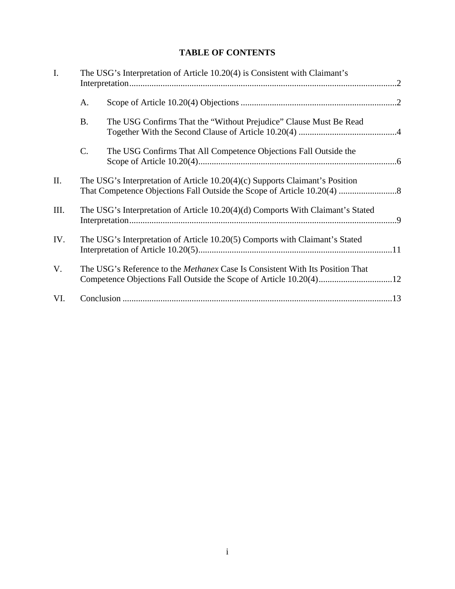# **TABLE OF CONTENTS**

| I.   | The USG's Interpretation of Article 10.20(4) is Consistent with Claimant's                                                                                 |                                                                   |  |
|------|------------------------------------------------------------------------------------------------------------------------------------------------------------|-------------------------------------------------------------------|--|
|      | A.                                                                                                                                                         |                                                                   |  |
|      | <b>B.</b>                                                                                                                                                  | The USG Confirms That the "Without Prejudice" Clause Must Be Read |  |
|      | C.                                                                                                                                                         | The USG Confirms That All Competence Objections Fall Outside the  |  |
| II.  | The USG's Interpretation of Article 10.20(4)(c) Supports Claimant's Position                                                                               |                                                                   |  |
| III. | The USG's Interpretation of Article 10.20(4)(d) Comports With Claimant's Stated                                                                            |                                                                   |  |
| IV.  | The USG's Interpretation of Article 10.20(5) Comports with Claimant's Stated                                                                               |                                                                   |  |
| V.   | The USG's Reference to the <i>Methanex</i> Case Is Consistent With Its Position That<br>Competence Objections Fall Outside the Scope of Article 10.20(4)12 |                                                                   |  |
| VI.  |                                                                                                                                                            |                                                                   |  |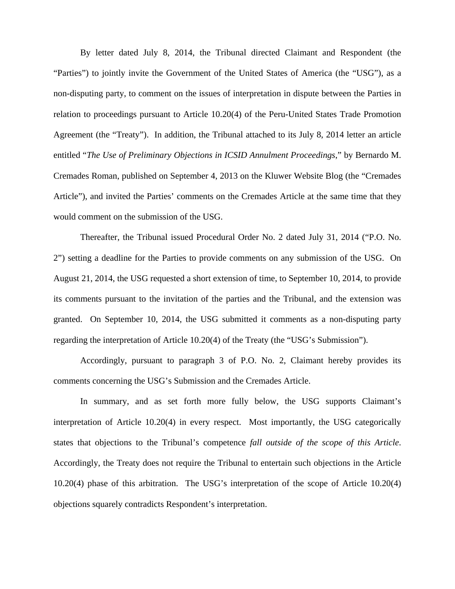By letter dated July 8, 2014, the Tribunal directed Claimant and Respondent (the "Parties") to jointly invite the Government of the United States of America (the "USG"), as a non-disputing party, to comment on the issues of interpretation in dispute between the Parties in relation to proceedings pursuant to Article 10.20(4) of the Peru-United States Trade Promotion Agreement (the "Treaty"). In addition, the Tribunal attached to its July 8, 2014 letter an article entitled "*The Use of Preliminary Objections in ICSID Annulment Proceedings*," by Bernardo M. Cremades Roman, published on September 4, 2013 on the Kluwer Website Blog (the "Cremades Article"), and invited the Parties' comments on the Cremades Article at the same time that they would comment on the submission of the USG.

Thereafter, the Tribunal issued Procedural Order No. 2 dated July 31, 2014 ("P.O. No. 2") setting a deadline for the Parties to provide comments on any submission of the USG. On August 21, 2014, the USG requested a short extension of time, to September 10, 2014, to provide its comments pursuant to the invitation of the parties and the Tribunal, and the extension was granted. On September 10, 2014, the USG submitted it comments as a non-disputing party regarding the interpretation of Article 10.20(4) of the Treaty (the "USG's Submission").

Accordingly, pursuant to paragraph 3 of P.O. No. 2, Claimant hereby provides its comments concerning the USG's Submission and the Cremades Article.

In summary, and as set forth more fully below, the USG supports Claimant's interpretation of Article 10.20(4) in every respect. Most importantly, the USG categorically states that objections to the Tribunal's competence *fall outside of the scope of this Article*. Accordingly, the Treaty does not require the Tribunal to entertain such objections in the Article 10.20(4) phase of this arbitration. The USG's interpretation of the scope of Article 10.20(4) objections squarely contradicts Respondent's interpretation.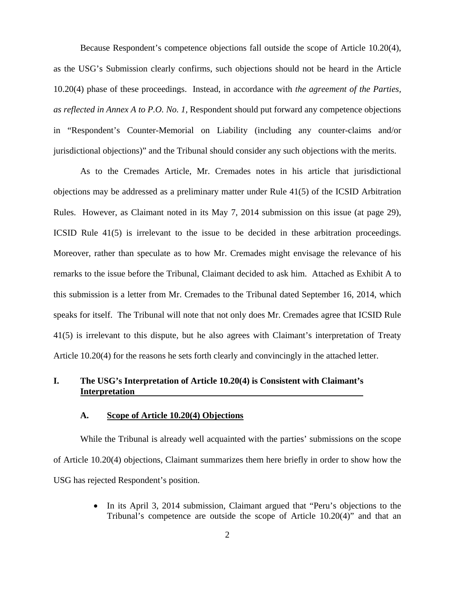Because Respondent's competence objections fall outside the scope of Article 10.20(4), as the USG's Submission clearly confirms, such objections should not be heard in the Article 10.20(4) phase of these proceedings. Instead, in accordance with *the agreement of the Parties, as reflected in Annex A to P.O. No. 1,* Respondent should put forward any competence objections in "Respondent's Counter-Memorial on Liability (including any counter-claims and/or jurisdictional objections)" and the Tribunal should consider any such objections with the merits.

As to the Cremades Article, Mr. Cremades notes in his article that jurisdictional objections may be addressed as a preliminary matter under Rule 41(5) of the ICSID Arbitration Rules. However, as Claimant noted in its May 7, 2014 submission on this issue (at page 29), ICSID Rule 41(5) is irrelevant to the issue to be decided in these arbitration proceedings. Moreover, rather than speculate as to how Mr. Cremades might envisage the relevance of his remarks to the issue before the Tribunal, Claimant decided to ask him. Attached as Exhibit A to this submission is a letter from Mr. Cremades to the Tribunal dated September 16, 2014, which speaks for itself. The Tribunal will note that not only does Mr. Cremades agree that ICSID Rule 41(5) is irrelevant to this dispute, but he also agrees with Claimant's interpretation of Treaty Article 10.20(4) for the reasons he sets forth clearly and convincingly in the attached letter.

# **I. The USG's Interpretation of Article 10.20(4) is Consistent with Claimant's Interpretation**

#### **A. Scope of Article 10.20(4) Objections**

While the Tribunal is already well acquainted with the parties' submissions on the scope of Article 10.20(4) objections, Claimant summarizes them here briefly in order to show how the USG has rejected Respondent's position.

> • In its April 3, 2014 submission, Claimant argued that "Peru's objections to the Tribunal's competence are outside the scope of Article 10.20(4)" and that an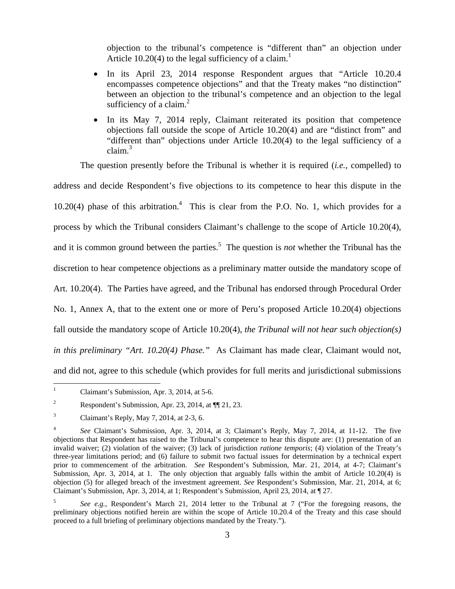objection to the tribunal's competence is "different than" an objection under Article 10.20(4) to the legal sufficiency of a claim.<sup>1</sup>

- In its April 23, 2014 response Respondent argues that "Article 10.20.4" encompasses competence objections" and that the Treaty makes "no distinction" between an objection to the tribunal's competence and an objection to the legal sufficiency of a claim. $2$
- In its May 7, 2014 reply, Claimant reiterated its position that competence objections fall outside the scope of Article 10.20(4) and are "distinct from" and "different than" objections under Article 10.20(4) to the legal sufficiency of a claim. $3$

The question presently before the Tribunal is whether it is required (*i.e.,* compelled) to

address and decide Respondent's five objections to its competence to hear this dispute in the  $10.20(4)$  phase of this arbitration.<sup>4</sup> This is clear from the P.O. No. 1, which provides for a process by which the Tribunal considers Claimant's challenge to the scope of Article 10.20(4), and it is common ground between the parties.<sup>5</sup> The question is *not* whether the Tribunal has the discretion to hear competence objections as a preliminary matter outside the mandatory scope of Art. 10.20(4). The Parties have agreed, and the Tribunal has endorsed through Procedural Order No. 1, Annex A, that to the extent one or more of Peru's proposed Article 10.20(4) objections fall outside the mandatory scope of Article 10.20(4), *the Tribunal will not hear such objection(s) in this preliminary "Art. 10.20(4) Phase."* As Claimant has made clear, Claimant would not, and did not, agree to this schedule (which provides for full merits and jurisdictional submissions

 $\frac{1}{1}$ Claimant's Submission, Apr. 3, 2014, at 5-6.

<sup>2</sup> Respondent's Submission, Apr. 23, 2014, at ¶¶ 21, 23.

<sup>3</sup> Claimant's Reply, May 7, 2014, at 2-3, 6.

<sup>4</sup>  *See* Claimant's Submission, Apr. 3, 2014, at 3; Claimant's Reply, May 7, 2014, at 11-12. The five objections that Respondent has raised to the Tribunal's competence to hear this dispute are: (1) presentation of an invalid waiver; (2) violation of the waiver; (3) lack of jurisdiction *ratione temporis*; (4) violation of the Treaty's three-year limitations period; and (6) failure to submit two factual issues for determination by a technical expert prior to commencement of the arbitration. *See* Respondent's Submission, Mar. 21, 2014, at 4-7; Claimant's Submission, Apr. 3, 2014, at 1. The only objection that arguably falls within the ambit of Article 10.20(4) is objection (5) for alleged breach of the investment agreement. *See* Respondent's Submission, Mar. 21, 2014, at 6; Claimant's Submission, Apr. 3, 2014, at 1; Respondent's Submission, April 23, 2014, at ¶ 27.

<sup>5</sup> See e.g., Respondent's March 21, 2014 letter to the Tribunal at 7 ("For the foregoing reasons, the preliminary objections notified herein are within the scope of Article 10.20.4 of the Treaty and this case should proceed to a full briefing of preliminary objections mandated by the Treaty.").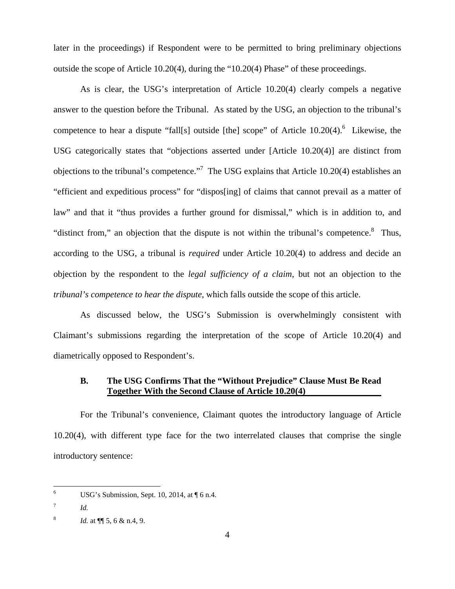later in the proceedings) if Respondent were to be permitted to bring preliminary objections outside the scope of Article 10.20(4), during the "10.20(4) Phase" of these proceedings.

As is clear, the USG's interpretation of Article 10.20(4) clearly compels a negative answer to the question before the Tribunal. As stated by the USG, an objection to the tribunal's competence to hear a dispute "fall[s] outside [the] scope" of Article  $10.20(4)$ . Likewise, the USG categorically states that "objections asserted under [Article 10.20(4)] are distinct from objections to the tribunal's competence."<sup>7</sup> The USG explains that Article 10.20(4) establishes an "efficient and expeditious process" for "dispos[ing] of claims that cannot prevail as a matter of law" and that it "thus provides a further ground for dismissal," which is in addition to, and "distinct from," an objection that the dispute is not within the tribunal's competence.<sup>8</sup> Thus, according to the USG, a tribunal is *required* under Article 10.20(4) to address and decide an objection by the respondent to the *legal sufficiency of a claim*, but not an objection to the *tribunal's competence to hear the dispute*, which falls outside the scope of this article.

As discussed below, the USG's Submission is overwhelmingly consistent with Claimant's submissions regarding the interpretation of the scope of Article 10.20(4) and diametrically opposed to Respondent's.

# **B. The USG Confirms That the "Without Prejudice" Clause Must Be Read Together With the Second Clause of Article 10.20(4)**

For the Tribunal's convenience, Claimant quotes the introductory language of Article 10.20(4), with different type face for the two interrelated clauses that comprise the single introductory sentence:

 $\overline{a}$ 

<sup>6</sup> USG's Submission, Sept. 10, 2014, at ¶ 6 n.4.

<sup>7</sup>  *Id.*

<sup>8</sup> *Id.* at  $\P$  5, 6 & n.4, 9.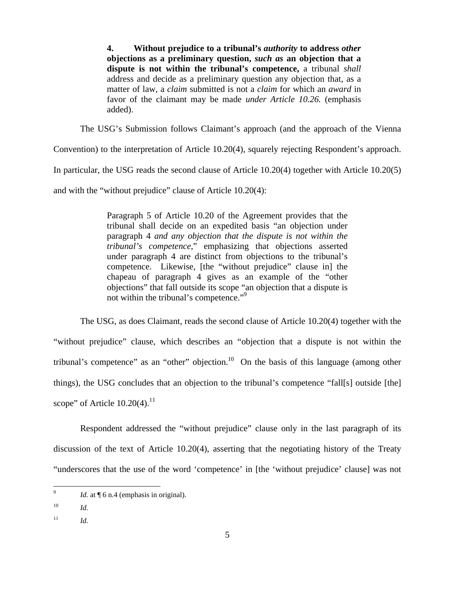**4. Without prejudice to a tribunal's** *authority* **to address** *other* **objections as a preliminary question,** *such as* **an objection that a dispute is not within the tribunal's competence,** a tribunal *shall* address and decide as a preliminary question any objection that, as a matter of law, a *claim* submitted is not a *claim* for which an *award* in favor of the claimant may be made *under Article 10.26.* (emphasis added).

The USG's Submission follows Claimant's approach (and the approach of the Vienna

Convention) to the interpretation of Article 10.20(4), squarely rejecting Respondent's approach. In particular, the USG reads the second clause of Article 10.20(4) together with Article 10.20(5)

and with the "without prejudice" clause of Article 10.20(4):

Paragraph 5 of Article 10.20 of the Agreement provides that the tribunal shall decide on an expedited basis "an objection under paragraph 4 *and any objection that the dispute is not within the tribunal's competence*," emphasizing that objections asserted under paragraph 4 are distinct from objections to the tribunal's competence. Likewise, [the "without prejudice" clause in] the chapeau of paragraph 4 gives as an example of the "other objections" that fall outside its scope "an objection that a dispute is not within the tribunal's competence."<sup>9</sup>

The USG, as does Claimant, reads the second clause of Article 10.20(4) together with the "without prejudice" clause, which describes an "objection that a dispute is not within the tribunal's competence" as an "other" objection.<sup>10</sup> On the basis of this language (among other things), the USG concludes that an objection to the tribunal's competence "fall[s] outside [the] scope" of Article  $10.20(4)$ .<sup>11</sup>

Respondent addressed the "without prejudice" clause only in the last paragraph of its discussion of the text of Article 10.20(4), asserting that the negotiating history of the Treaty "underscores that the use of the word 'competence' in [the 'without prejudice' clause] was not

 $\overline{9}$ *Id.* at  $\P$  6 n.4 (emphasis in original).

<sup>10</sup> *Id.*

 $11$  *Id.*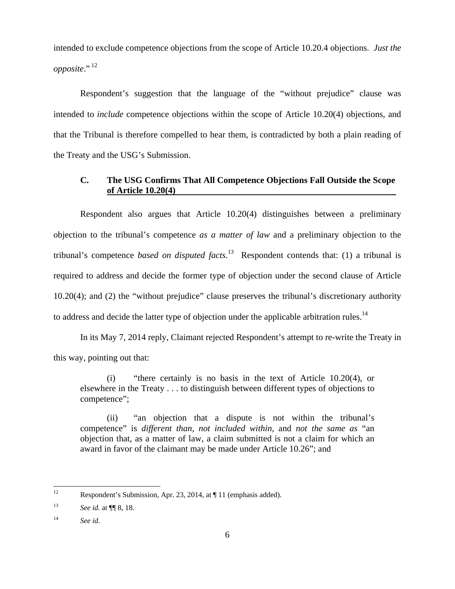intended to exclude competence objections from the scope of Article 10.20.4 objections. *Just the opposite.*"<sup>12</sup>

Respondent's suggestion that the language of the "without prejudice" clause was intended to *include* competence objections within the scope of Article 10.20(4) objections, and that the Tribunal is therefore compelled to hear them, is contradicted by both a plain reading of the Treaty and the USG's Submission.

# **C. The USG Confirms That All Competence Objections Fall Outside the Scope of Article 10.20(4)**

Respondent also argues that Article 10.20(4) distinguishes between a preliminary objection to the tribunal's competence *as a matter of law* and a preliminary objection to the tribunal's competence *based on disputed facts*. 13 Respondent contends that: (1) a tribunal is required to address and decide the former type of objection under the second clause of Article 10.20(4); and (2) the "without prejudice" clause preserves the tribunal's discretionary authority to address and decide the latter type of objection under the applicable arbitration rules.<sup>14</sup>

In its May 7, 2014 reply, Claimant rejected Respondent's attempt to re-write the Treaty in this way, pointing out that:

(i) "there certainly is no basis in the text of Article 10.20(4), or elsewhere in the Treaty . . . to distinguish between different types of objections to competence";

(ii) "an objection that a dispute is not within the tribunal's competence" is *different than, not included within*, and *not the same as* "an objection that, as a matter of law, a claim submitted is not a claim for which an award in favor of the claimant may be made under Article 10.26"; and

 $12$ Respondent's Submission, Apr. 23, 2014, at ¶ 11 (emphasis added).

<sup>13</sup> *See id.* at ¶¶ 8, 18.

<sup>14</sup> *See id.*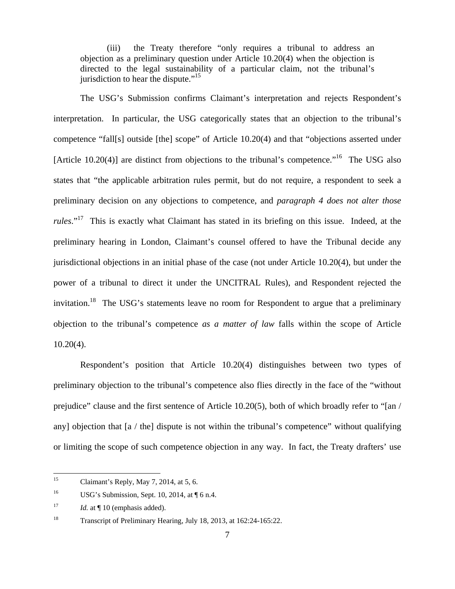(iii) the Treaty therefore "only requires a tribunal to address an objection as a preliminary question under Article 10.20(4) when the objection is directed to the legal sustainability of a particular claim, not the tribunal's jurisdiction to hear the dispute."<sup>15</sup>

The USG's Submission confirms Claimant's interpretation and rejects Respondent's interpretation. In particular, the USG categorically states that an objection to the tribunal's competence "fall[s] outside [the] scope" of Article 10.20(4) and that "objections asserted under [Article 10.20(4)] are distinct from objections to the tribunal's competence."<sup>16</sup> The USG also states that "the applicable arbitration rules permit, but do not require, a respondent to seek a preliminary decision on any objections to competence, and *paragraph 4 does not alter those rules*."17 This is exactly what Claimant has stated in its briefing on this issue. Indeed, at the preliminary hearing in London, Claimant's counsel offered to have the Tribunal decide any jurisdictional objections in an initial phase of the case (not under Article 10.20(4), but under the power of a tribunal to direct it under the UNCITRAL Rules), and Respondent rejected the invitation.<sup>18</sup> The USG's statements leave no room for Respondent to argue that a preliminary objection to the tribunal's competence *as a matter of law* falls within the scope of Article  $10.20(4)$ .

Respondent's position that Article 10.20(4) distinguishes between two types of preliminary objection to the tribunal's competence also flies directly in the face of the "without prejudice" clause and the first sentence of Article 10.20(5), both of which broadly refer to "[an / any] objection that  $\lceil a / \text{ the } \rceil$  dispute is not within the tribunal's competence" without qualifying or limiting the scope of such competence objection in any way. In fact, the Treaty drafters' use

<sup>15</sup> Claimant's Reply, May 7, 2014, at 5, 6.

<sup>&</sup>lt;sup>16</sup> USG's Submission, Sept. 10, 2014, at  $\P$  6 n.4.

<sup>&</sup>lt;sup>17</sup> *Id.* at  $\P$  10 (emphasis added).

<sup>&</sup>lt;sup>18</sup> Transcript of Preliminary Hearing, July 18, 2013, at 162:24-165:22.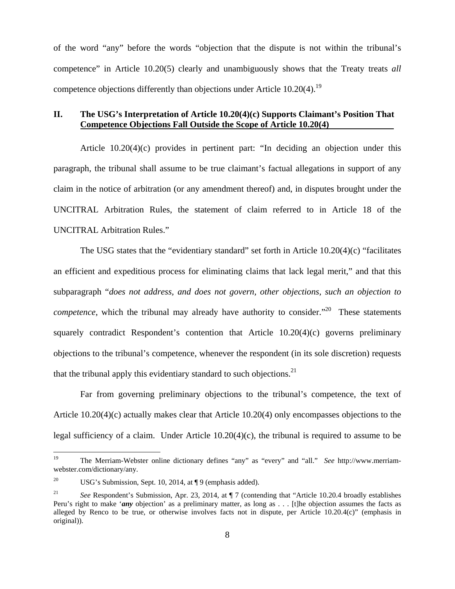of the word "any" before the words "objection that the dispute is not within the tribunal's competence" in Article 10.20(5) clearly and unambiguously shows that the Treaty treats *all* competence objections differently than objections under Article  $10.20(4)$ .<sup>19</sup>

### **II. The USG's Interpretation of Article 10.20(4)(c) Supports Claimant's Position That Competence Objections Fall Outside the Scope of Article 10.20(4)**

Article 10.20(4)(c) provides in pertinent part: "In deciding an objection under this paragraph, the tribunal shall assume to be true claimant's factual allegations in support of any claim in the notice of arbitration (or any amendment thereof) and, in disputes brought under the UNCITRAL Arbitration Rules, the statement of claim referred to in Article 18 of the UNCITRAL Arbitration Rules."

The USG states that the "evidentiary standard" set forth in Article 10.20(4)(c) "facilitates an efficient and expeditious process for eliminating claims that lack legal merit," and that this subparagraph "*does not address, and does not govern, other objections, such an objection to competence*, which the tribunal may already have authority to consider.<sup>"20</sup> These statements squarely contradict Respondent's contention that Article 10.20(4)(c) governs preliminary objections to the tribunal's competence, whenever the respondent (in its sole discretion) requests that the tribunal apply this evidentiary standard to such objections.<sup>21</sup>

Far from governing preliminary objections to the tribunal's competence, the text of Article 10.20(4)(c) actually makes clear that Article 10.20(4) only encompasses objections to the legal sufficiency of a claim. Under Article 10.20(4)(c), the tribunal is required to assume to be

 $19$ 19 The Merriam-Webster online dictionary defines "any" as "every" and "all." *See* http://www.merriamwebster.com/dictionary/any.

<sup>&</sup>lt;sup>20</sup> USG's Submission, Sept. 10, 2014, at  $\P$  9 (emphasis added).

<sup>&</sup>lt;sup>21</sup> See Respondent's Submission, Apr. 23, 2014, at  $\P$  7 (contending that "Article 10.20.4 broadly establishes Peru's right to make '*any* objection' as a preliminary matter, as long as . . . [t]he objection assumes the facts as alleged by Renco to be true, or otherwise involves facts not in dispute, per Article 10.20.4(c)" (emphasis in original)).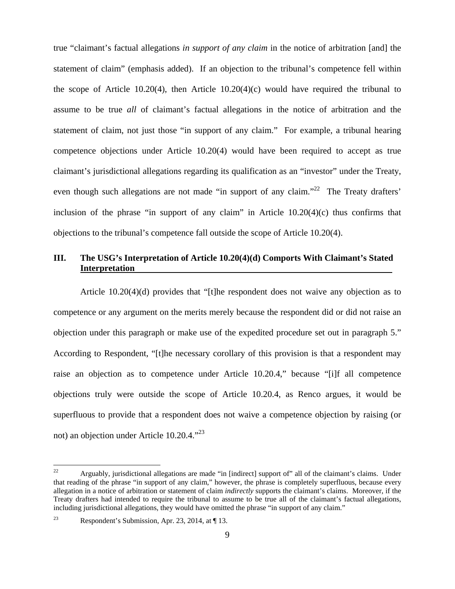true "claimant's factual allegations *in support of any claim* in the notice of arbitration [and] the statement of claim" (emphasis added). If an objection to the tribunal's competence fell within the scope of Article 10.20(4), then Article  $10.20(4)(c)$  would have required the tribunal to assume to be true *all* of claimant's factual allegations in the notice of arbitration and the statement of claim, not just those "in support of any claim." For example, a tribunal hearing competence objections under Article 10.20(4) would have been required to accept as true claimant's jurisdictional allegations regarding its qualification as an "investor" under the Treaty, even though such allegations are not made "in support of any claim."<sup>22</sup> The Treaty drafters' inclusion of the phrase "in support of any claim" in Article 10.20(4)(c) thus confirms that objections to the tribunal's competence fall outside the scope of Article 10.20(4).

# **III. The USG's Interpretation of Article 10.20(4)(d) Comports With Claimant's Stated Interpretation**

Article 10.20(4)(d) provides that "[t]he respondent does not waive any objection as to competence or any argument on the merits merely because the respondent did or did not raise an objection under this paragraph or make use of the expedited procedure set out in paragraph 5." According to Respondent, "[t]he necessary corollary of this provision is that a respondent may raise an objection as to competence under Article 10.20.4," because "[i]f all competence objections truly were outside the scope of Article 10.20.4, as Renco argues, it would be superfluous to provide that a respondent does not waive a competence objection by raising (or not) an objection under Article 10.20.4."<sup>23</sup>

 $22\,$ Arguably, jurisdictional allegations are made "in [indirect] support of" all of the claimant's claims. Under that reading of the phrase "in support of any claim," however, the phrase is completely superfluous, because every allegation in a notice of arbitration or statement of claim *indirectly* supports the claimant's claims. Moreover, if the Treaty drafters had intended to require the tribunal to assume to be true all of the claimant's factual allegations, including jurisdictional allegations, they would have omitted the phrase "in support of any claim."

<sup>&</sup>lt;sup>23</sup> Respondent's Submission, Apr. 23, 2014, at  $\P$  13.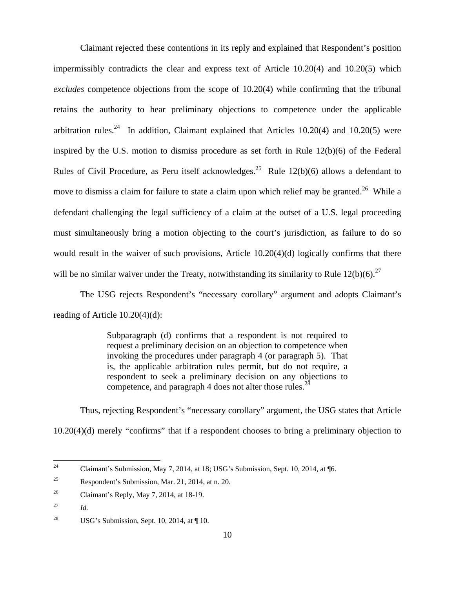Claimant rejected these contentions in its reply and explained that Respondent's position impermissibly contradicts the clear and express text of Article 10.20(4) and 10.20(5) which *excludes* competence objections from the scope of 10.20(4) while confirming that the tribunal retains the authority to hear preliminary objections to competence under the applicable arbitration rules.<sup>24</sup> In addition, Claimant explained that Articles 10.20(4) and 10.20(5) were inspired by the U.S. motion to dismiss procedure as set forth in Rule 12(b)(6) of the Federal Rules of Civil Procedure, as Peru itself acknowledges.<sup>25</sup> Rule 12(b)(6) allows a defendant to move to dismiss a claim for failure to state a claim upon which relief may be granted.<sup>26</sup> While a defendant challenging the legal sufficiency of a claim at the outset of a U.S. legal proceeding must simultaneously bring a motion objecting to the court's jurisdiction, as failure to do so would result in the waiver of such provisions, Article 10.20(4)(d) logically confirms that there will be no similar waiver under the Treaty, notwithstanding its similarity to Rule  $12(b)(6)$ .<sup>27</sup>

The USG rejects Respondent's "necessary corollary" argument and adopts Claimant's reading of Article 10.20(4)(d):

> Subparagraph (d) confirms that a respondent is not required to request a preliminary decision on an objection to competence when invoking the procedures under paragraph 4 (or paragraph 5). That is, the applicable arbitration rules permit, but do not require, a respondent to seek a preliminary decision on any objections to competence, and paragraph 4 does not alter those rules.<sup>28</sup>

Thus, rejecting Respondent's "necessary corollary" argument, the USG states that Article 10.20(4)(d) merely "confirms" that if a respondent chooses to bring a preliminary objection to

 $24$ 24 Claimant's Submission, May 7, 2014, at 18; USG's Submission, Sept. 10, 2014, at ¶6.

<sup>&</sup>lt;sup>25</sup> Respondent's Submission, Mar. 21, 2014, at n. 20.

<sup>&</sup>lt;sup>26</sup> Claimant's Reply, May 7, 2014, at  $18-19$ .

<sup>27</sup> *Id.*

<sup>&</sup>lt;sup>28</sup> USG's Submission, Sept. 10, 2014, at  $\P$  10.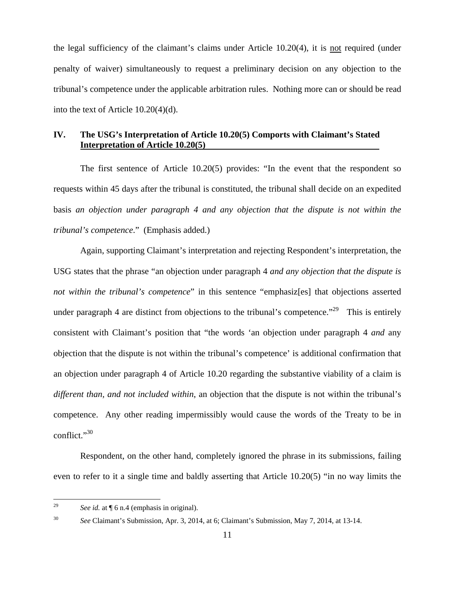the legal sufficiency of the claimant's claims under Article 10.20(4), it is not required (under penalty of waiver) simultaneously to request a preliminary decision on any objection to the tribunal's competence under the applicable arbitration rules. Nothing more can or should be read into the text of Article 10.20(4)(d).

### **IV. The USG's Interpretation of Article 10.20(5) Comports with Claimant's Stated Interpretation of Article 10.20(5)**

The first sentence of Article 10.20(5) provides: "In the event that the respondent so requests within 45 days after the tribunal is constituted, the tribunal shall decide on an expedited basis *an objection under paragraph 4 and any objection that the dispute is not within the tribunal's competence*." (Emphasis added.)

Again, supporting Claimant's interpretation and rejecting Respondent's interpretation, the USG states that the phrase "an objection under paragraph 4 *and any objection that the dispute is not within the tribunal's competence*" in this sentence "emphasiz[es] that objections asserted under paragraph 4 are distinct from objections to the tribunal's competence.<sup> $29$ </sup> This is entirely consistent with Claimant's position that "the words 'an objection under paragraph 4 *and* any objection that the dispute is not within the tribunal's competence' is additional confirmation that an objection under paragraph 4 of Article 10.20 regarding the substantive viability of a claim is *different than, and not included within*, an objection that the dispute is not within the tribunal's competence. Any other reading impermissibly would cause the words of the Treaty to be in conflict."<sup>30</sup>

Respondent, on the other hand, completely ignored the phrase in its submissions, failing even to refer to it a single time and baldly asserting that Article 10.20(5) "in no way limits the

<sup>29</sup> See *id.* at  $\P$  6 n.4 (emphasis in original).

<sup>30</sup> *See* Claimant's Submission, Apr. 3, 2014, at 6; Claimant's Submission, May 7, 2014, at 13-14.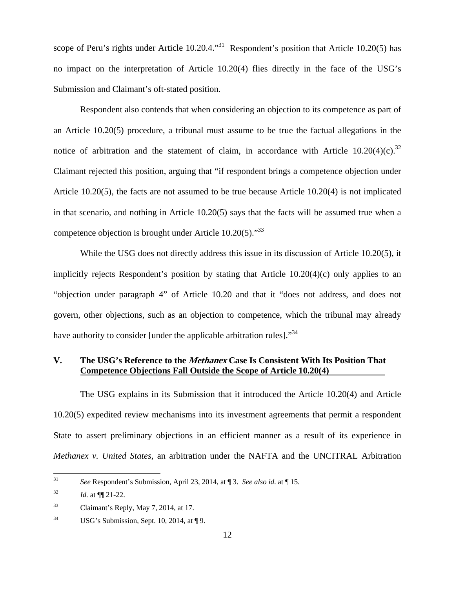scope of Peru's rights under Article 10.20.4. $^{31}$  Respondent's position that Article 10.20(5) has no impact on the interpretation of Article 10.20(4) flies directly in the face of the USG's Submission and Claimant's oft-stated position.

Respondent also contends that when considering an objection to its competence as part of an Article 10.20(5) procedure, a tribunal must assume to be true the factual allegations in the notice of arbitration and the statement of claim, in accordance with Article  $10.20(4)(c)$ .<sup>32</sup> Claimant rejected this position, arguing that "if respondent brings a competence objection under Article 10.20(5), the facts are not assumed to be true because Article 10.20(4) is not implicated in that scenario, and nothing in Article 10.20(5) says that the facts will be assumed true when a competence objection is brought under Article  $10.20(5)$ ."<sup>33</sup>

While the USG does not directly address this issue in its discussion of Article 10.20(5), it implicitly rejects Respondent's position by stating that Article 10.20(4)(c) only applies to an "objection under paragraph 4" of Article 10.20 and that it "does not address, and does not govern, other objections, such as an objection to competence, which the tribunal may already have authority to consider [under the applicable arbitration rules]."<sup>34</sup>

## **V. The USG's Reference to the Methanex Case Is Consistent With Its Position That Competence Objections Fall Outside the Scope of Article 10.20(4)**

The USG explains in its Submission that it introduced the Article 10.20(4) and Article 10.20(5) expedited review mechanisms into its investment agreements that permit a respondent State to assert preliminary objections in an efficient manner as a result of its experience in *Methanex v. United States*, an arbitration under the NAFTA and the UNCITRAL Arbitration

 $31$ <sup>31</sup> *See* Respondent's Submission, April 23, 2014, at ¶ 3. *See also id*. at ¶ 15.

 $32$  *Id.* at  $\P$  21-22.

<sup>33</sup> Claimant's Reply, May 7, 2014, at 17.

<sup>&</sup>lt;sup>34</sup> USG's Submission, Sept. 10, 2014, at  $\P$ 9.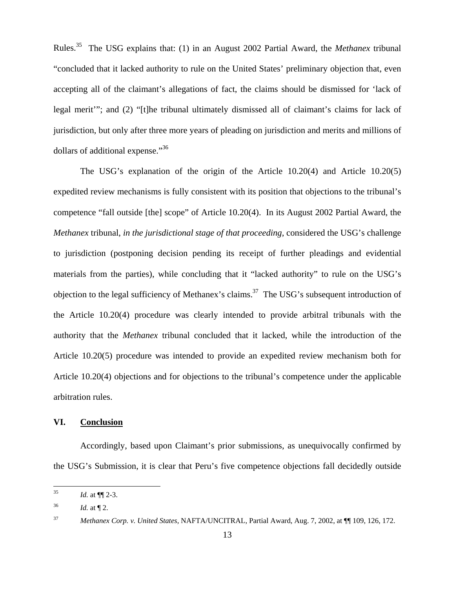Rules.35 The USG explains that: (1) in an August 2002 Partial Award, the *Methanex* tribunal "concluded that it lacked authority to rule on the United States' preliminary objection that, even accepting all of the claimant's allegations of fact, the claims should be dismissed for 'lack of legal merit'"; and (2) "[t]he tribunal ultimately dismissed all of claimant's claims for lack of jurisdiction, but only after three more years of pleading on jurisdiction and merits and millions of dollars of additional expense."36

The USG's explanation of the origin of the Article 10.20(4) and Article 10.20(5) expedited review mechanisms is fully consistent with its position that objections to the tribunal's competence "fall outside [the] scope" of Article 10.20(4). In its August 2002 Partial Award, the *Methanex* tribunal, *in the jurisdictional stage of that proceeding*, considered the USG's challenge to jurisdiction (postponing decision pending its receipt of further pleadings and evidential materials from the parties), while concluding that it "lacked authority" to rule on the USG's objection to the legal sufficiency of Methanex's claims.<sup>37</sup> The USG's subsequent introduction of the Article 10.20(4) procedure was clearly intended to provide arbitral tribunals with the authority that the *Methanex* tribunal concluded that it lacked, while the introduction of the Article 10.20(5) procedure was intended to provide an expedited review mechanism both for Article 10.20(4) objections and for objections to the tribunal's competence under the applicable arbitration rules.

### **VI. Conclusion**

Accordingly, based upon Claimant's prior submissions, as unequivocally confirmed by the USG's Submission, it is clear that Peru's five competence objections fall decidedly outside

<sup>35</sup> *Id.* at  $\P$  2-3.

<sup>36</sup> *Id.* at ¶ 2.

<sup>37</sup> *Methanex Corp. v. United States*, NAFTA/UNCITRAL, Partial Award, Aug. 7, 2002, at ¶¶ 109, 126, 172.